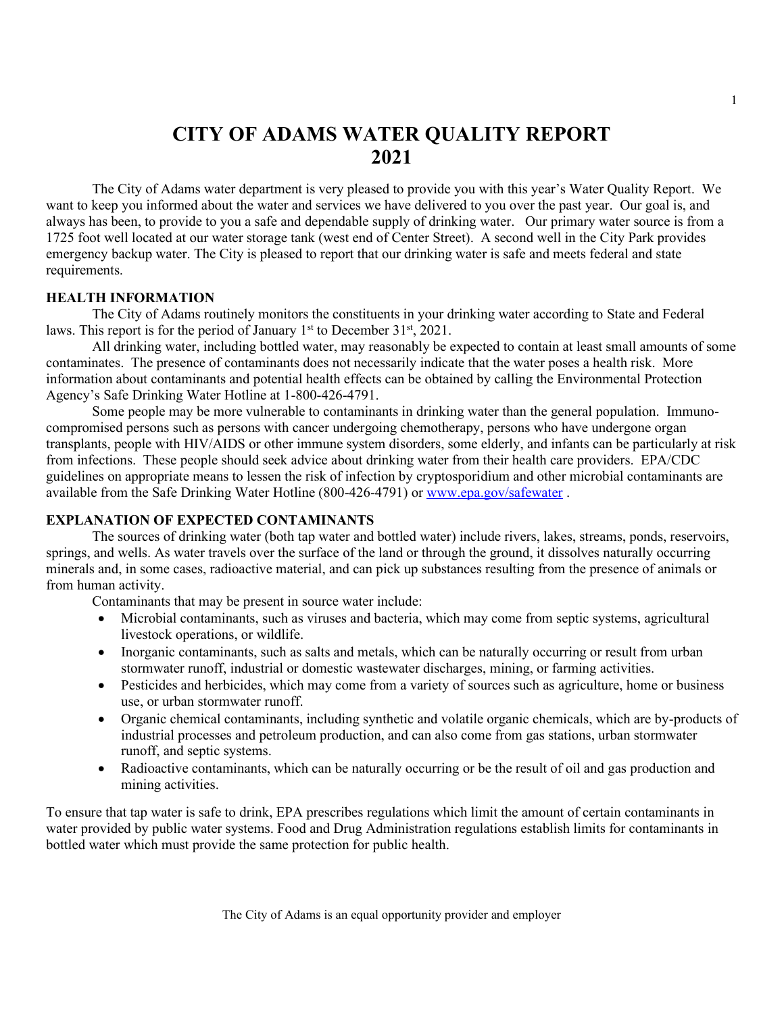# **CITY OF ADAMS WATER QUALITY REPORT 2021**

The City of Adams water department is very pleased to provide you with this year's Water Quality Report. We want to keep you informed about the water and services we have delivered to you over the past year. Our goal is, and always has been, to provide to you a safe and dependable supply of drinking water. Our primary water source is from a 1725 foot well located at our water storage tank (west end of Center Street). A second well in the City Park provides emergency backup water. The City is pleased to report that our drinking water is safe and meets federal and state requirements.

### **HEALTH INFORMATION**

The City of Adams routinely monitors the constituents in your drinking water according to State and Federal laws. This report is for the period of January  $1<sup>st</sup>$  to December 31 $<sup>st</sup>$ , 2021.</sup>

All drinking water, including bottled water, may reasonably be expected to contain at least small amounts of some contaminates. The presence of contaminants does not necessarily indicate that the water poses a health risk. More information about contaminants and potential health effects can be obtained by calling the Environmental Protection Agency's Safe Drinking Water Hotline at 1-800-426-4791.

Some people may be more vulnerable to contaminants in drinking water than the general population. Immunocompromised persons such as persons with cancer undergoing chemotherapy, persons who have undergone organ transplants, people with HIV/AIDS or other immune system disorders, some elderly, and infants can be particularly at risk from infections. These people should seek advice about drinking water from their health care providers. EPA/CDC guidelines on appropriate means to lessen the risk of infection by cryptosporidium and other microbial contaminants are available from the Safe Drinking Water Hotline (800-426-4791) or [www.epa.gov/safewater](http://www.epa.gov/safewater) .

## **EXPLANATION OF EXPECTED CONTAMINANTS**

The sources of drinking water (both tap water and bottled water) include rivers, lakes, streams, ponds, reservoirs, springs, and wells. As water travels over the surface of the land or through the ground, it dissolves naturally occurring minerals and, in some cases, radioactive material, and can pick up substances resulting from the presence of animals or from human activity.

Contaminants that may be present in source water include:

- Microbial contaminants, such as viruses and bacteria, which may come from septic systems, agricultural livestock operations, or wildlife.
- Inorganic contaminants, such as salts and metals, which can be naturally occurring or result from urban stormwater runoff, industrial or domestic wastewater discharges, mining, or farming activities.
- Pesticides and herbicides, which may come from a variety of sources such as agriculture, home or business use, or urban stormwater runoff.
- Organic chemical contaminants, including synthetic and volatile organic chemicals, which are by-products of industrial processes and petroleum production, and can also come from gas stations, urban stormwater runoff, and septic systems.
- Radioactive contaminants, which can be naturally occurring or be the result of oil and gas production and mining activities.

To ensure that tap water is safe to drink, EPA prescribes regulations which limit the amount of certain contaminants in water provided by public water systems. Food and Drug Administration regulations establish limits for contaminants in bottled water which must provide the same protection for public health.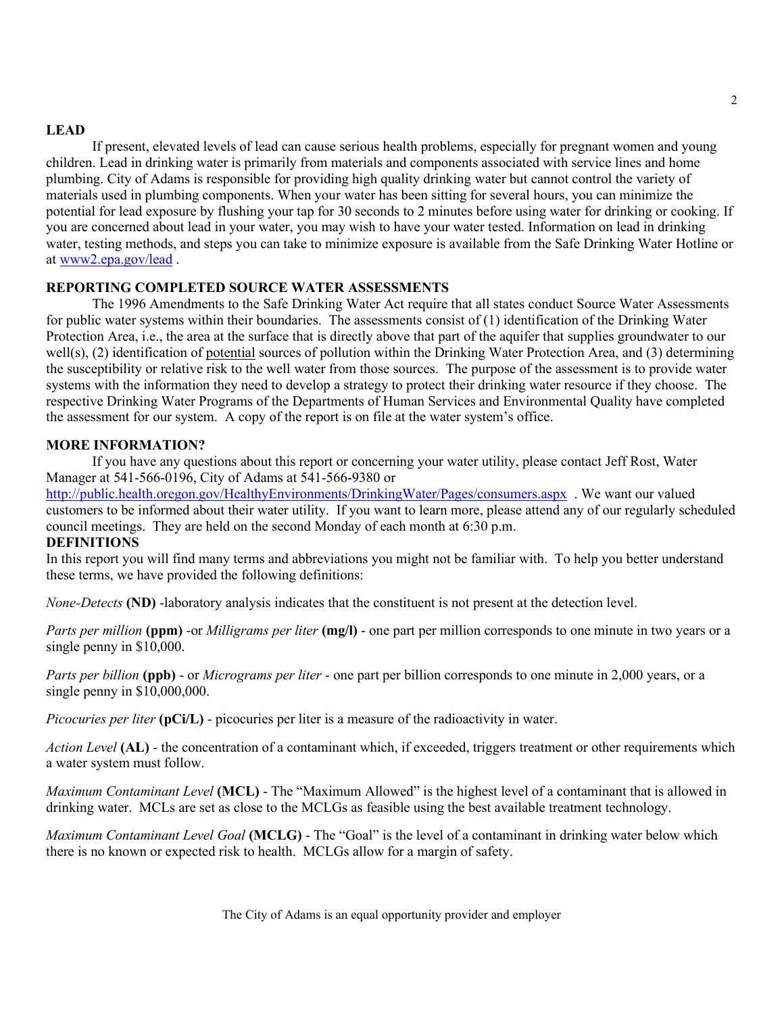### **LEAD**

If present, elevated levels of lead can cause serious health problems, especially for pregnant women and young children. Lead in drinking water is primarily from materials and components associated with service lines and home plumbing. City of Adams is responsible for providing high quality drinking water but cannot control the variety of materials used in plumbing components. When your water has been sitting for several hours, you can minimize the potential for lead exposure by flushing your tap for 30 seconds to 2 minutes before using water for drinking or cooking. If you are concerned about lead in your water, you may wish to have your water tested. Information on lead in drinking water, testing methods, and steps you can take to minimize exposure is available from the Safe Drinking Water Hotline or at [www2.epa.gov/lead](http://www2.epa.gov/lead) .

### **REPORTING COMPLETED SOURCE WATER ASSESSMENTS**

The 1996 Amendments to the Safe Drinking Water Act require that all states conduct Source Water Assessments for public water systems within their boundaries. The assessments consist of (1) identification of the Drinking Water Protection Area, i.e., the area at the surface that is directly above that part of the aquifer that supplies groundwater to our well(s), (2) identification of potential sources of pollution within the Drinking Water Protection Area, and (3) determining the susceptibility or relative risk to the well water from those sources. The purpose of the assessment is to provide water systems with the information they need to develop a strategy to protect their drinking water resource if they choose. The respective Drinking Water Programs of the Departments of Human Services and Environmental Quality have completed the assessment for our system. A copy of the report is on file at the water system's office.

## **MORE INFORMATION?**

If you have any questions about this report or concerning your water utility, please contact Jeff Rost, Water Manager at 541-566-0196, City of Adams at 541-566-9380 or

<http://public.health.oregon.gov/HealthyEnvironments/DrinkingWater/Pages/consumers.aspx> . We want our valued customers to be informed about their water utility. If you want to learn more, please attend any of our regularly scheduled council meetings. They are held on the second Monday of each month at 6:30 p.m.

#### **DEFINITIONS**

In this report you will find many terms and abbreviations you might not be familiar with. To help you better understand these terms, we have provided the following definitions:

*None-Detects* **(ND)** -laboratory analysis indicates that the constituent is not present at the detection level.

*Parts per million* **(ppm)** -or *Milligrams per liter* **(mg/l)** - one part per million corresponds to one minute in two years or a single penny in \$10,000.

*Parts per billion* **(ppb)** - or *Micrograms per liter* - one part per billion corresponds to one minute in 2,000 years, or a single penny in \$10,000,000.

*Picocuries per liter* **(pCi/L)** - picocuries per liter is a measure of the radioactivity in water.

*Action Level* **(AL)** - the concentration of a contaminant which, if exceeded, triggers treatment or other requirements which a water system must follow.

*Maximum Contaminant Level* **(MCL)** - The "Maximum Allowed" is the highest level of a contaminant that is allowed in drinking water. MCLs are set as close to the MCLGs as feasible using the best available treatment technology.

*Maximum Contaminant Level Goal* **(MCLG)** - The "Goal" is the level of a contaminant in drinking water below which there is no known or expected risk to health. MCLGs allow for a margin of safety.